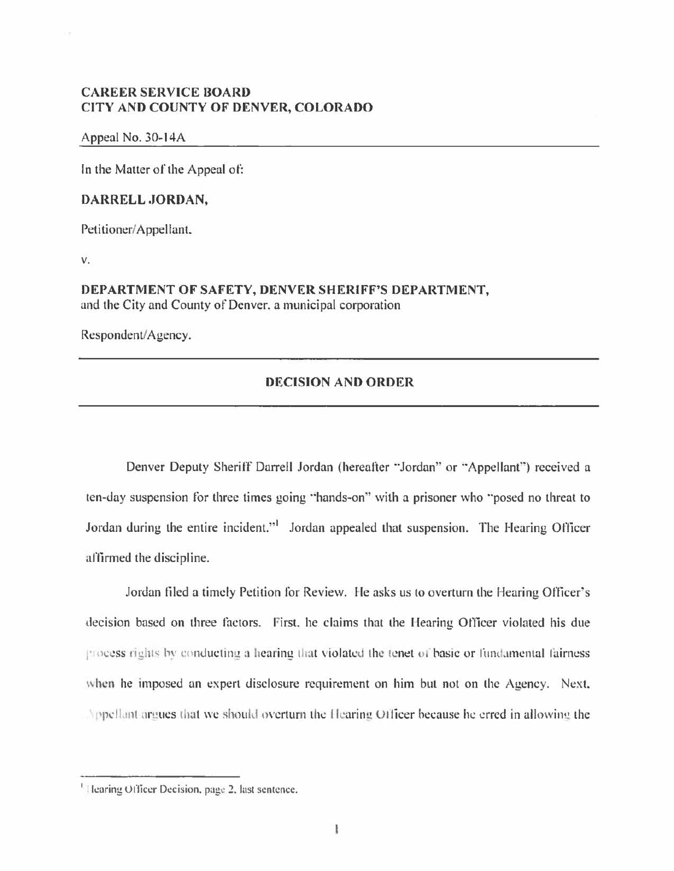# **CAREER SERVICE BOARD CITY AND COUNTY OF DENVER, COLORADO**

#### Appeal No. 30-14A

In the Matter of the Appeal of:

### **DARRELL .JORDAN,**

Petitioner/ Appellant.

V.

### **DEPARTMENT OF SAFETY, DENVER SHERIFF'S DEPARTMENT,**  und the City and County of Denver. a municipal corporation

Respondent/Agency.

## **DECISION AND ORDER**

Denver Deputy Sheriff Darrell Jordan (hereafter "Jordan" or "Appellant") received a ten-day suspension for three times going "hands-on" with a prisoner who "posed no threat to Jordan during the entire incident."<sup>1</sup> Jordan appealed that suspension. The Hearing Officer aftinned the discipline.

Jordan filed a timely Petition for Review. He asks us to overturn the Hearing Officer's decision based on three factors. First, he claims that the Hearing Officer violated his due process rights by conducting a hearing that violated the tenet of basic or fundamental fairness when he imposed an expert disclosure requirement on him but not on the Agency. Next. Appellant argues that we should overturn the Hearing Officer because he erred in allowing the

<sup>&</sup>lt;sup>1</sup> Hearing Officer Decision, page 2, last sentence.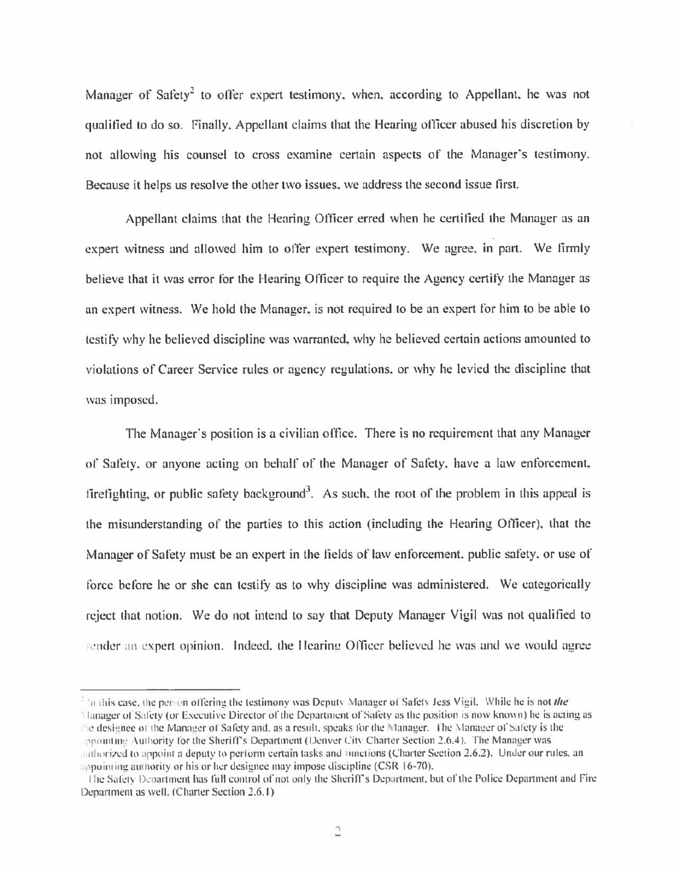Manager of Safety<sup>2</sup> to offer expert testimony, when, according to Appellant, he was not qualified to do so. Finally, Appellant claims that the Hearing officer abused his discretion by not allowing his counsel to cross examine certain aspects of the Manager's testimony. Because it helps us resolve the other two issues. we address the second issue first.

Appellant claims that the Hearing Officer erred when he certified the Manager as an expert witness and allowed him to offer expert testimony. We agree. in part. We firmly believe that it was error for the Hearing Officer to require the Agency certify the Manager as an expert witness. We hold the Manager. is not required to be an expert for him to be able to testity why he believed discipline was warranted. why he believed certain actions amounted to violations of Career Service rules or agency regulations. or why he levied the discipline that was imposed.

The Manager's position is a civilian office. There is no requirement that any Manager of Satety. or anyone acting on behalf of the Manager of Safety. have a law enforcement. firefighting, or public safety background<sup>3</sup>. As such, the root of the problem in this appeal is the misunderstanding of the parties to this action (including the Hearing Officer), that the Manager of Safety must be an expert in the fields of law enforcement. public safety. or use of force before he or she can testify as to why discipline was administered. We categorically reject that notion. We do not intend to say that Deputy Manager Vigil was not qualified to render an expert opinion. Indeed, the Hearing Officer believed he was and we would agree

<sup>&</sup>lt;sup>2</sup> In this case, the person offering the testimony was Deputy Manager of Safety Jess Vigil. While he is not the Hanager of Safety (or Executive Director of the Department of Safety as the position is now known) he is acting as the designee of the Manager of Safety and, as a result, speaks for the Manager. The Manager of Safety is the ppointing Authority for the Sheriff's Department (Denver City Charter Section 2.6.4). The Manager was authorized to appoint a deputy to perform certain tasks and lunctions (Charter Section 2.6.2). Under our rules, an appointing authority or his or her designee may impose discipline (CSR 16-70).

The Safety Department has full control of not only the Sheriff's Department, but of the Police Department and Fire Department as well. (Charter Section 2.6.1)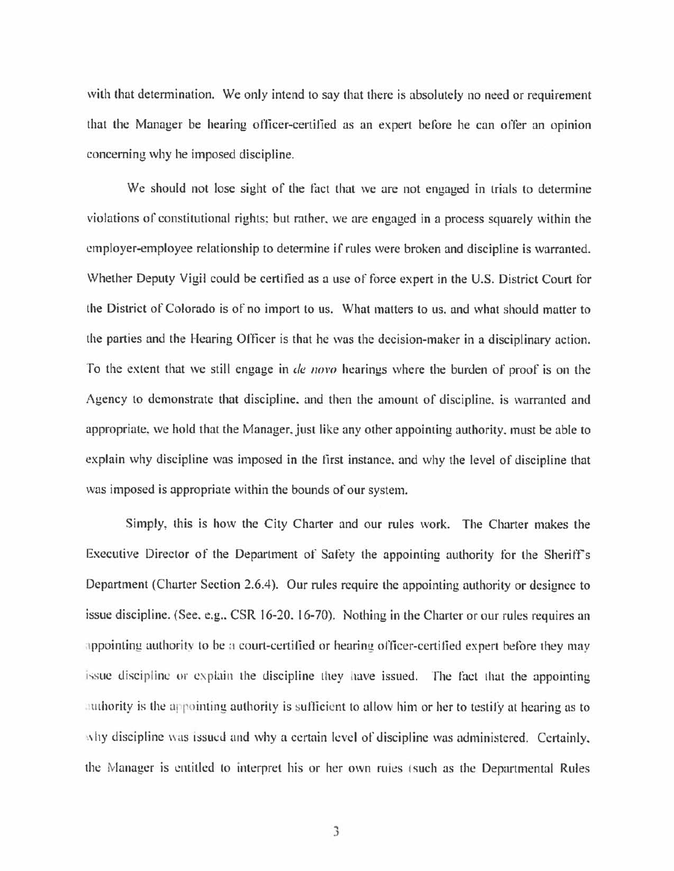with that determination. We only intend to say that there is absolutely no need or requirement that the Manager be hearing officer-certified as an expert before he can ofter an opinion concerning why he imposed discipline.

We should not lose sight of the fact that we are not engaged in trials to determine violations of constitutional rights: but rather. we are engaged in a process squarely within the employer-employee relationship to determine if rules were broken and discipline is warranted. Whether Deputy Vigil could be certified as a use of force expert in the U.S. District Court for the District of Colorado is of no import to us. What matters to us. and what should matter to the parties and the Hearing Officer is that he was the decision-maker in a disciplinary action. To the extent that we still engage in *de novo* hearings where the burden of proof is on the Agency to demonstrate that discipline. and then the amount of discipline. is warranted and appropriate, we hold that the Manager, just like any other appointing authority, must be able to explain why discipline was imposed in the first instance. and why the level of discipline that was imposed is appropriate within the bounds of our system.

Simply, this is how the City Charter and our rules work. The Charter makes the Executive Director of the Department of Satety the appointing authority for the Sheriffs Department (Charter Section 2.6.4). Our rules require the appointing authority or designee to issue discipline. (See, e.g., CSR 16-20, 16-70). Nothing in the Charter or our rules requires an appointing authority to be a court-certified or hearing officer-certified expert before they may issue discipline or explain the discipline they have issued. The fact that the appointing authority is the appointing authority is sufficient to allow him or her to testify at hearing as to  $\Delta$  1 discipline  $\Delta$  1ssued and why a certain level of discipline was administered. Certainly, the Manager is entitled to interpret his or her own ruies (such as the Departmental Rules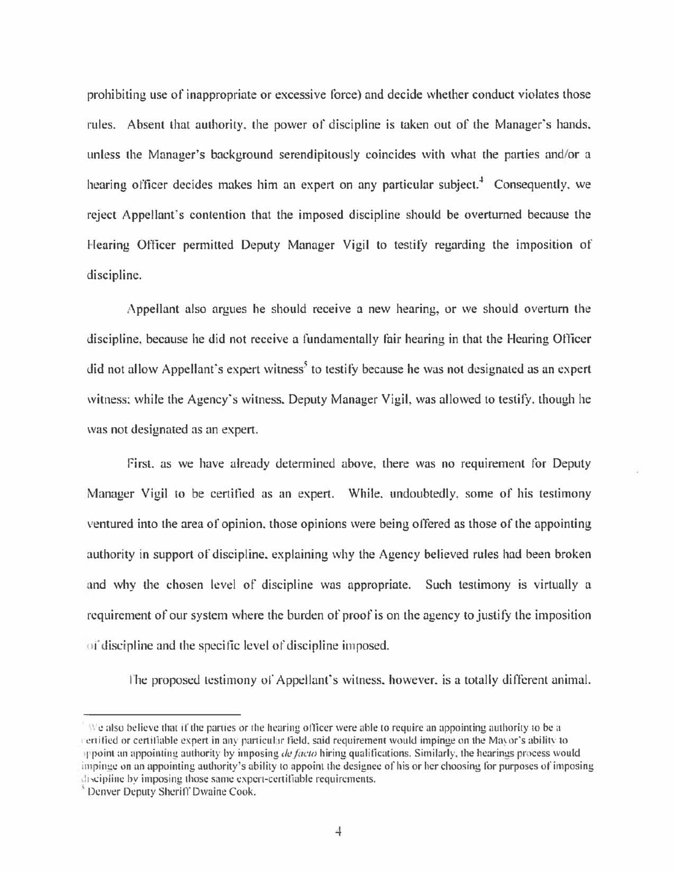prohibiting use of inappropriate or excessive force) and decide whether conduct violates those rules. Absent that authority. the power of discipline is taken out of the Manager's hands, unless the Manager's background serendipitously coincides with what the parties and/or a hearing officer decides makes him an expert on any particular subject.<sup>4</sup> Consequently, we reject Appellant's contention that the imposed discipline should be overturned because the Hearing Officer permitted Deputy Manager Vigil to testify regarding the imposition of discipline.

Appellant also argues he should receive a new hearing, or we should overturn the discipline, because he did not receive a fundamentally fair hearing in that the Hearing Officer did not allow Appellant's expert witness<sup>5</sup> to testify because he was not designated as an expert witness; while the Agency's witness. Deputy Manager Vigil, was allowed to testify. though he was not designated as an expert.

First. as we have already determined above, there was no requirement for Deputy Manager Vigil to be certified as an expert. While. undoubtedly. some of his testimony ventured into the area of opinion. those opinions were being offered as those of the appointing authority in support of discipline. explaining why the Agency believed rules had been broken and why the chosen level of discipline was appropriate. Such testimony is virtually a requirement of our system where the burden of proof is on the agency to justity the imposition of discipline and the specific level of discipline imposed.

l'he proposed testimony or Appellant's witness. however. is a totally different animal.

 $\vee$  also believe that if the parties or the hearing officer were able to require an appointing authority to be a rertified or certifiable expert in any particular field, said requirement would impinge on the Mayor's ability to 11 point an appoint in~ authority by imposing *def(lcto* hiring qualifications. Similarly. the hearings process would impinge on an appointing authority's ability to appoint the designee of his or her choosing for purposes of imposing discipline by imposing those same expert-certifiable requirements.

<sup>&</sup>lt;sup>5</sup> Denver Deputy Sheriff Dwaine Cook.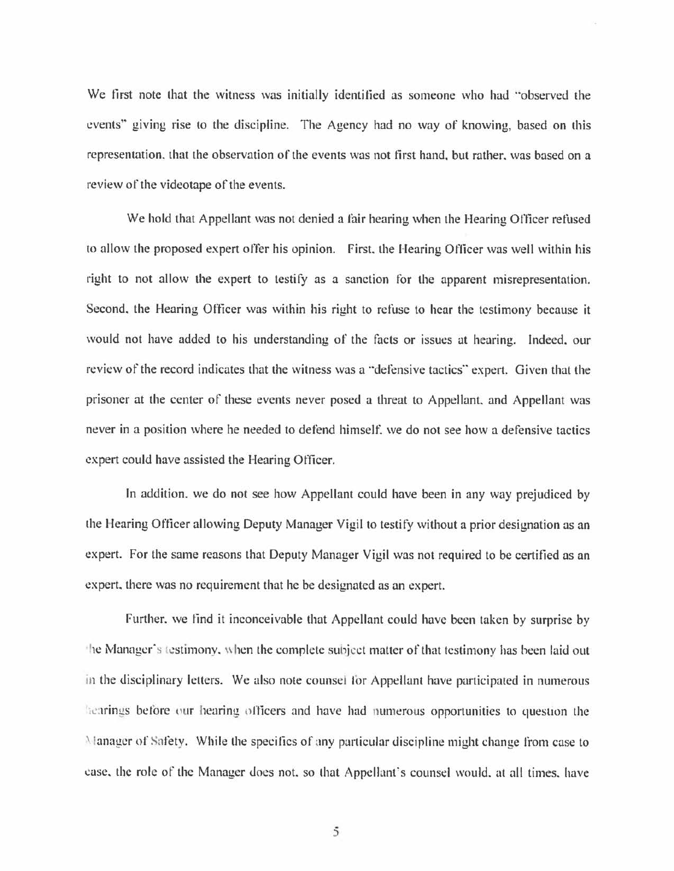We first note that the witness was initially identified as someone who had "observed the events" giving rise to the discipline. The Agency had no way of knowing, based on this representation. that the observation of the events was not first hand. but rather. was based on a review of the videotape of the events.

We hold that Appellant was not denied a fair hearing when the Hearing Officer refused to allow the proposed expert offer his opinion. First. the I-fearing Officer was well within his right to not allow the expert to testify as a sanction for the apparent misrepresentation. Second, the Hearing Officer was within his right to refuse to hear the testimony because it would not have added to his understanding of the facts or issues at hearing. Indeed. our review of the record indicates that the witness was a "defensive tactics" expert. Given that the prisoner at the center of these events never posed a threat to Appellant. and Appellant was never in a position where he needed to defend himself, we do not see how a defensive tactics expert could have assisted the Hearing Officer.

In addition. we do not see how Appellant could have been in any way prejudiced by the Hearing Officer allowing Deputy Manager Vigil to testify without a prior designation as an expert. For the same reasons that Deputy Manager Vigil was not required to be certified as an expert. there was no requirement that he be designated as an expert.

Further. we find it inconceivable that Appellant could have been taken by surprise by the Manager's testimony, when the complete subject matter of that testimony has been laid out in the disciplinary letters. We also note counsel for Appellant have participated in numerous hearings before our hearing officers and have had numerous opportunities to question the 'lanagcr of Snfety. While the specifics of any panicular discipline might change from case to case, the role of the Manager does not, so that Appellant's counsel would, at all times, have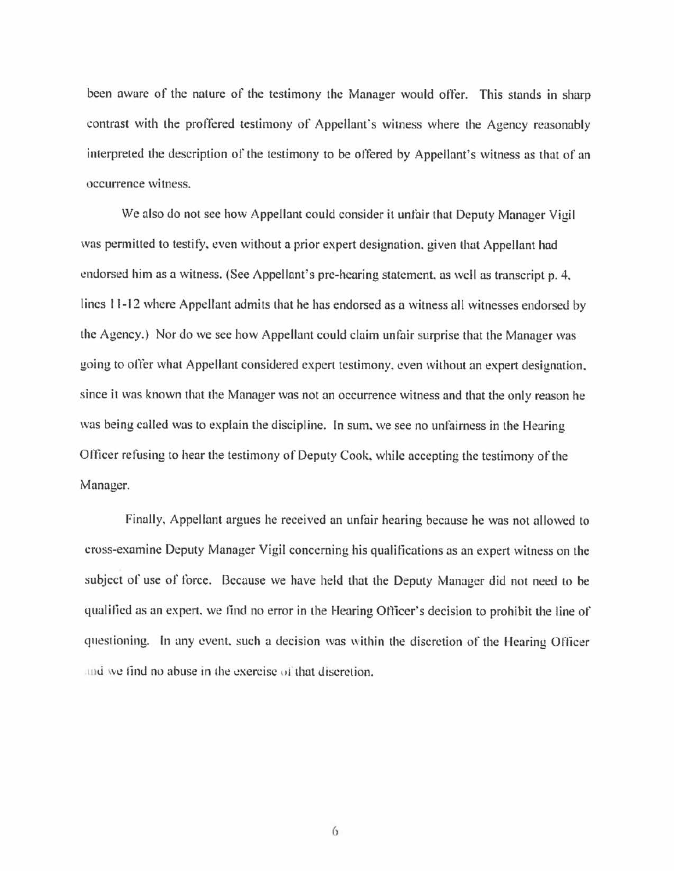been aware of the nature of the testimony the Manager would offer. This stands in sharp contrast with the proffered testimony of Appellant's witness where the Agency reasonably interpreted the description of the testimony to be offered by Appellant's witness as that of an occurrence witness.

We also do not see how Appellant could consider it unfair that Deputy Manager Vigil was permitted to testify. even without a prior expert designation. given that Appellant had endorsed him as a witness. (See Appellant's pre-hearing statement. as well as transcript p. 4. lines 11-12 where Appellant admits that he has endorsed as a witness all witnesses endorsed by the Agency.) Nor do we see how Appellant could claim unfair surprise that the Manager was going to ofter what Appellant considered expert testimony, even without an expert designation. since it was known that the Manager was not an occurrence witness and that the only reason he was being called was to explain the discipline. In sum. we see no unfairness in the Hearing Officer refusing to hear the testimony of Deputy Cook. while accepting the testimony of the Manager.

Finally, Appellant argues he received an unfair hearing because he was not allowed to cross-examine Deputy Manager Vigil concerning his qualifications as an expert witness on the subject of use of force. Because we have held that the Deputy Manager did not need to be qualified as an expert. we tind no error in the Hearing Officer's decision to prohibit the line of questioning. In any event, such a decision was within the discretion of the Hearing Officer and we find no abuse in the exercise of that discretion.